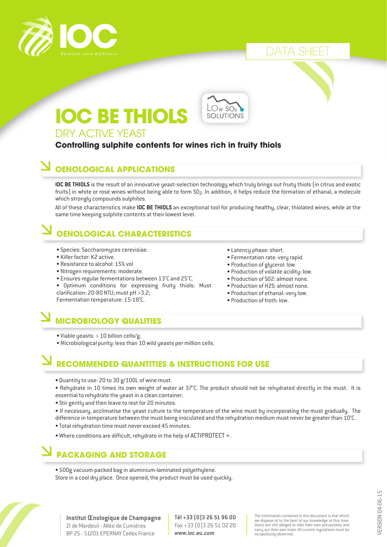

### DATA SHEET

# DRY ACTIVE YEAST **IOC BE THIOLS**

## $\sim$  W SO<sub>2</sub> **SOLUTIONS**

### **Controlling sulphite contents for wines rich in fruity thiols**

#### **OENOLOGICAL APPLICATIONS**

**IOC BE THIOLS** is the result of an innovative yeast-selection technology which truly brings out fruity thiols (in citrus and exotic fruits) in white or rosé wines without being able to form  $SO_2$ . In addition, it helps reduce the formation of ethanal, a molecule which strongly compounds sulphites.

All of these characteristics make **IOC BE THIOLS** an exceptional tool for producing healthy, clear, thiolated wines, while at the same time keeping sulphite contents at their lowest level.

## **OENOLOGICAL CHARACTERISTICS**

- Species: Saccharomyces cerevisiae.
- Killer factor: K2 active.
- Resistance to alcohol: 15% vol
- Nitrogen requirements: moderate.
- Ensures regular fermentations between 13°C and 25°C.
- Optimum conditions for expressing fruity thiols: Must clarification: 20-80 NTU; must pH >3.2;

Fermentation temperature: 15-18°C.

- Latency phase: short.
- Fermentation rate: very rapid.
- Production of glycerol: low.
- Production of volatile acidity: low.
- Production of SO2: almost none.
- Production of H2S: almost none.
- Production of ethanal: very low.
- Production of froth: low.

### **MICROBIOLOGY QUALITIES**

- Viable yeasts: > 10 billion cells/g.
- Microbiological purity: less than 10 wild yeasts per million cells.

### **RECOMMENDED QUANTITIES & INSTRUCTIONS FOR USE**

- Quantity to use: 20 to 30 g/100L of wine must.
- Rehydrate in 10 times its own weight of water at 37°C. The product should not be rehydrated directly in the must. It is essential to rehydrate the yeast in a clean container.
- Stir gently and then leave to rest for 20 minutes.
- If necessary, acclimatise the yeast culture to the temperature of the wine must by incorporating the must gradually. The
- difference in temperature between the must being inoculated and the rehydration medium must never be greater than 10°C.
- Total rehydration time must never exceed 45 minutes.
- Where conditions are difficult, rehydrate in the help of ACTIPROTECT +.

### **PACKAGING AND STORAGE**

• 500g vacuum-packed bag in aluminium-laminated polyethylene. Store in a cool dry place. Once opened, the product must be used quickly.



**Institut Œnologique de Champagne** ZI de Mardeuil - Allée de Cumières BP 25 - 51201 EPERNAY Cedex France

**Tél +33 (0)3 26 51 96 00** Fax +33 (0)3 26 51 02 20 *www.ioc.eu.com*

The information contained in this document is that which we dispose of to the best of our knowledge at this time. Users are still obliged to take their own precautions and carry out their own trials. All current regulations must be scrupulously observed.